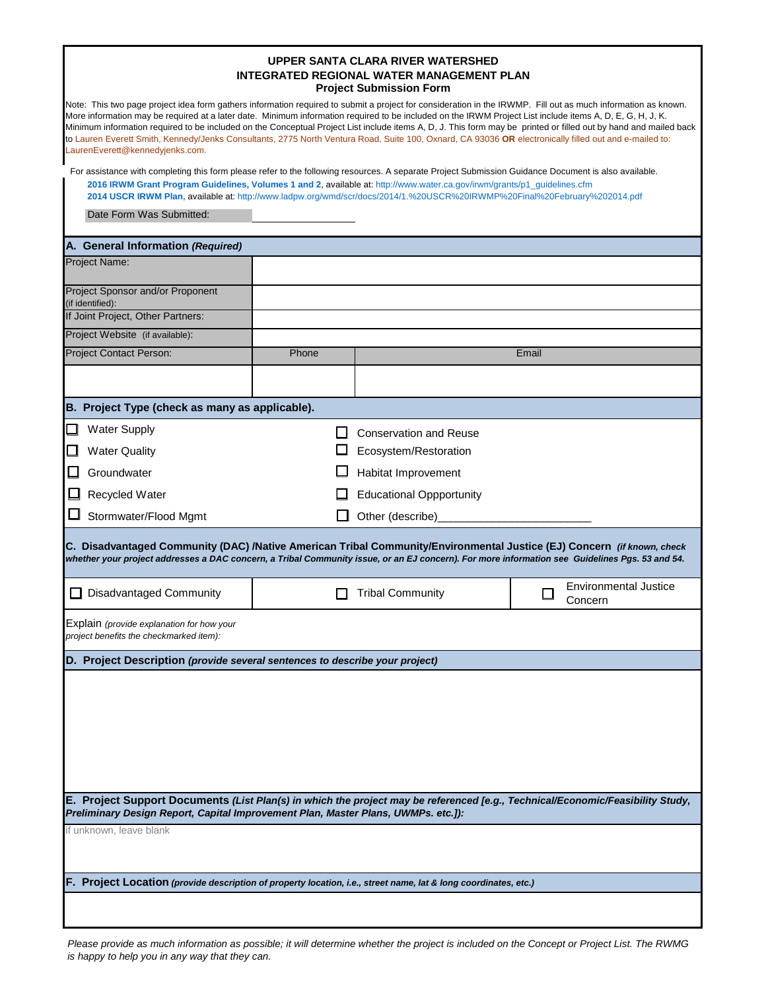| UPPER SANTA CLARA RIVER WATERSHED         |
|-------------------------------------------|
| INTEGRATED REGIONAL WATER MANAGEMENT PLAN |
| <b>Project Submission Form</b>            |

| Note: This two page project idea form gathers information required to submit a project for consideration in the IRWMP. Fill out as much information as known.<br>More information may be required at a later date. Minimum information required to be included on the IRWM Project List include items A, D, E, G, H, J, K.<br>Minimum information required to be included on the Conceptual Project List include items A, D, J. This form may be printed or filled out by hand and mailed back<br>to Lauren Everett Smith, Kennedy/Jenks Consultants, 2775 North Ventura Road, Suite 100, Oxnard, CA 93036 OR electronically filled out and e-mailed to:<br>LaurenEverett@kennedyjenks.com. |                                                                                           |       |                                                                         |       |  |  |  |  |  |  |
|---------------------------------------------------------------------------------------------------------------------------------------------------------------------------------------------------------------------------------------------------------------------------------------------------------------------------------------------------------------------------------------------------------------------------------------------------------------------------------------------------------------------------------------------------------------------------------------------------------------------------------------------------------------------------------------------|-------------------------------------------------------------------------------------------|-------|-------------------------------------------------------------------------|-------|--|--|--|--|--|--|
| For assistance with completing this form please refer to the following resources. A separate Project Submission Guidance Document is also available.<br>2016 IRWM Grant Program Guidelines, Volumes 1 and 2, available at: http://www.water.ca.gov/irwm/grants/p1_guidelines.cfm<br>2014 USCR IRWM Plan, available at: http://www.ladpw.org/wmd/scr/docs/2014/1.%20USCR%20IRWMP%20Final%20February%202014.pdf                                                                                                                                                                                                                                                                               |                                                                                           |       |                                                                         |       |  |  |  |  |  |  |
|                                                                                                                                                                                                                                                                                                                                                                                                                                                                                                                                                                                                                                                                                             | Date Form Was Submitted:                                                                  |       |                                                                         |       |  |  |  |  |  |  |
|                                                                                                                                                                                                                                                                                                                                                                                                                                                                                                                                                                                                                                                                                             | A. General Information (Required)                                                         |       |                                                                         |       |  |  |  |  |  |  |
|                                                                                                                                                                                                                                                                                                                                                                                                                                                                                                                                                                                                                                                                                             | Project Name:                                                                             |       |                                                                         |       |  |  |  |  |  |  |
|                                                                                                                                                                                                                                                                                                                                                                                                                                                                                                                                                                                                                                                                                             | Project Sponsor and/or Proponent<br>(if identified):<br>If Joint Project, Other Partners: |       |                                                                         |       |  |  |  |  |  |  |
|                                                                                                                                                                                                                                                                                                                                                                                                                                                                                                                                                                                                                                                                                             | Project Website (if available):                                                           |       |                                                                         |       |  |  |  |  |  |  |
|                                                                                                                                                                                                                                                                                                                                                                                                                                                                                                                                                                                                                                                                                             | Project Contact Person:                                                                   | Phone |                                                                         | Email |  |  |  |  |  |  |
|                                                                                                                                                                                                                                                                                                                                                                                                                                                                                                                                                                                                                                                                                             |                                                                                           |       |                                                                         |       |  |  |  |  |  |  |
|                                                                                                                                                                                                                                                                                                                                                                                                                                                                                                                                                                                                                                                                                             | B. Project Type (check as many as applicable).                                            |       |                                                                         |       |  |  |  |  |  |  |
| ❏                                                                                                                                                                                                                                                                                                                                                                                                                                                                                                                                                                                                                                                                                           | <b>Water Supply</b>                                                                       |       | <b>Conservation and Reuse</b>                                           |       |  |  |  |  |  |  |
| □                                                                                                                                                                                                                                                                                                                                                                                                                                                                                                                                                                                                                                                                                           | <b>Water Quality</b>                                                                      |       | Ecosystem/Restoration                                                   |       |  |  |  |  |  |  |
| □                                                                                                                                                                                                                                                                                                                                                                                                                                                                                                                                                                                                                                                                                           | Groundwater                                                                               |       | Habitat Improvement                                                     |       |  |  |  |  |  |  |
| ◻                                                                                                                                                                                                                                                                                                                                                                                                                                                                                                                                                                                                                                                                                           | Recycled Water                                                                            |       | <b>Educational Oppportunity</b>                                         |       |  |  |  |  |  |  |
|                                                                                                                                                                                                                                                                                                                                                                                                                                                                                                                                                                                                                                                                                             | Stormwater/Flood Mgmt                                                                     |       | Other (describe)                                                        |       |  |  |  |  |  |  |
| C. Disadvantaged Community (DAC) /Native American Tribal Community/Environmental Justice (EJ) Concern (if known, check<br>whether your project addresses a DAC concern, a Tribal Community issue, or an EJ concern). For more information see Guidelines Pgs. 53 and 54.                                                                                                                                                                                                                                                                                                                                                                                                                    |                                                                                           |       |                                                                         |       |  |  |  |  |  |  |
| l 1                                                                                                                                                                                                                                                                                                                                                                                                                                                                                                                                                                                                                                                                                         | <b>Disadvantaged Community</b>                                                            |       | <b>Environmental Justice</b><br><b>Tribal Community</b><br>П<br>Concern |       |  |  |  |  |  |  |
| Explain (provide explanation for how your<br>project benefits the checkmarked item):                                                                                                                                                                                                                                                                                                                                                                                                                                                                                                                                                                                                        |                                                                                           |       |                                                                         |       |  |  |  |  |  |  |
|                                                                                                                                                                                                                                                                                                                                                                                                                                                                                                                                                                                                                                                                                             | D. Project Description (provide several sentences to describe your project)               |       |                                                                         |       |  |  |  |  |  |  |
|                                                                                                                                                                                                                                                                                                                                                                                                                                                                                                                                                                                                                                                                                             |                                                                                           |       |                                                                         |       |  |  |  |  |  |  |
| E. Project Support Documents (List Plan(s) in which the project may be referenced [e.g., Technical/Economic/Feasibility Study,<br>Preliminary Design Report, Capital Improvement Plan, Master Plans, UWMPs. etc.]):                                                                                                                                                                                                                                                                                                                                                                                                                                                                         |                                                                                           |       |                                                                         |       |  |  |  |  |  |  |
|                                                                                                                                                                                                                                                                                                                                                                                                                                                                                                                                                                                                                                                                                             | if unknown, leave blank                                                                   |       |                                                                         |       |  |  |  |  |  |  |
| F. Project Location (provide description of property location, i.e., street name, lat & long coordinates, etc.)                                                                                                                                                                                                                                                                                                                                                                                                                                                                                                                                                                             |                                                                                           |       |                                                                         |       |  |  |  |  |  |  |
|                                                                                                                                                                                                                                                                                                                                                                                                                                                                                                                                                                                                                                                                                             |                                                                                           |       |                                                                         |       |  |  |  |  |  |  |

*Please provide as much information as possible; it will determine whether the project is included on the Concept or Project List. The RWMG is happy to help you in any way that they can.*